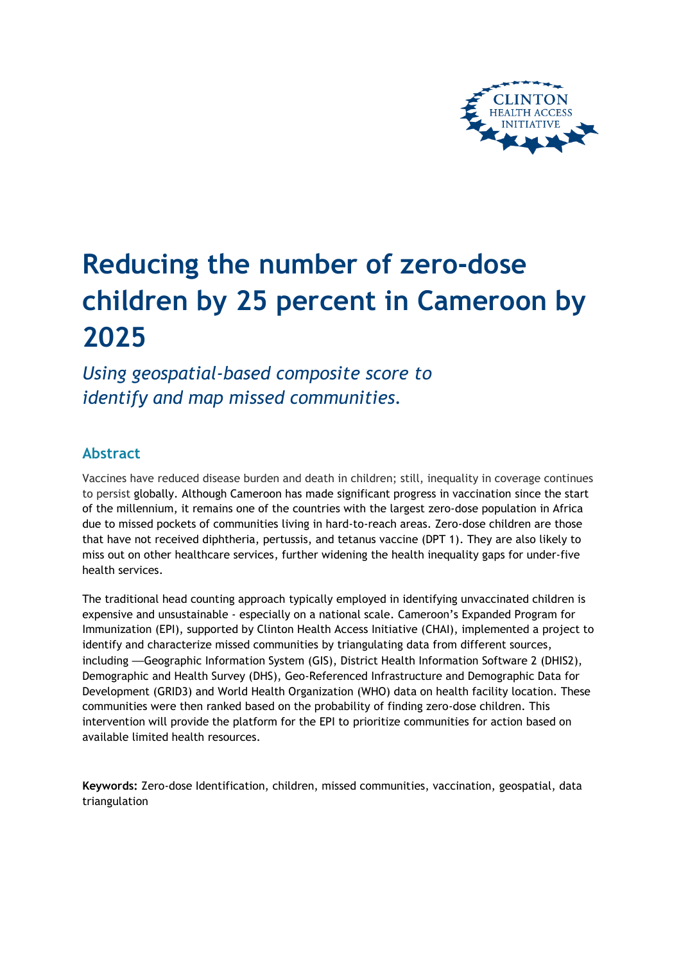

# **Reducing the number of zero-dose children by 25 percent in Cameroon by 2025**

*Using geospatial-based composite score to identify and map missed communities.*

# **Abstract**

Vaccines have reduced disease burden and death in children; still, inequality in coverage continues to persist globally. Although Cameroon has made significant progress in vaccination since the start of the millennium, it remains one of the countries with the largest zero-dose population in Africa due to missed pockets of communities living in hard-to-reach areas. Zero-dose children are those that have not received diphtheria, pertussis, and tetanus vaccine (DPT 1). They are also likely to miss out on other healthcare services, further widening the health inequality gaps for under-five health services.

The traditional head counting approach typically employed in identifying unvaccinated children is expensive and unsustainable - especially on a national scale. Cameroon's Expanded Program for Immunization (EPI), supported by Clinton Health Access Initiative (CHAI), implemented a project to identify and characterize missed communities by triangulating data from different sources, including —Geographic Information System (GIS), District Health Information Software 2 (DHIS2), Demographic and Health Survey (DHS), Geo-Referenced Infrastructure and Demographic Data for Development (GRID3) and World Health Organization (WHO) data on health facility location. These communities were then ranked based on the probability of finding zero-dose children. This intervention will provide the platform for the EPI to prioritize communities for action based on available limited health resources.

**Keywords:** Zero-dose Identification, children, missed communities, vaccination, geospatial, data triangulation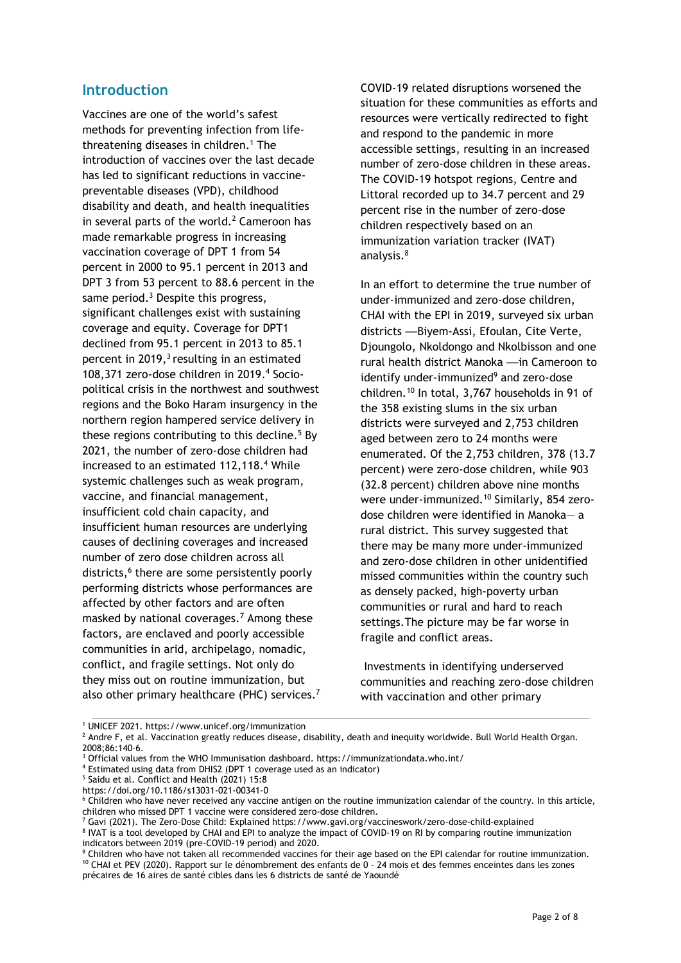### **Introduction**

<span id="page-1-0"></span>Vaccines are one of the world's safest methods for preventing infection from lifethreatening diseases in children. <sup>1</sup> The introduction of vaccines over the last decade has led to significant reductions in vaccinepreventable diseases (VPD), childhood disability and death, and health inequalities in several parts of the world. <sup>2</sup> Cameroon has made remarkable progress in increasing vaccination coverage of DPT 1 from 54 percent in 2000 to 95.1 percent in 2013 and DPT 3 from 53 percent to 88.6 percent in the same period.<sup>3</sup> Despite this progress, significant challenges exist with sustaining coverage and equity. Coverage for DPT1 declined from 95.1 percent in 2013 to 85.1 percent in 2019[,](#page-1-0)<sup>3</sup> resulting in an estimated 108,371 zero-dose children in 2019. <sup>4</sup> Sociopolitical crisis in the northwest and southwest regions and the Boko Haram insurgency in the northern region hampered service delivery in these regions contributing to this decline. <sup>5</sup> By 2021, the number of zero-dose children had increased to an estimated 112,118[.](#page-1-1) <sup>4</sup> While systemic challenges such as weak program, vaccine, and financial management, insufficient cold chain capacity, and insufficient human resources are underlying causes of declining coverages and increased number of zero dose children across all districts, 6 there are some persistently poorly performing districts whose performances are affected by other factors and are often masked by national coverages. <sup>7</sup> Among these factors, are enclaved and poorly accessible communities in arid, archipelago, nomadic, conflict, and fragile settings. Not only do they miss out on routine immunization, but also other primary healthcare (PHC) services[.](#page-1-2) 7

COVID-19 related disruptions worsened the situation for these communities as efforts and resources were vertically redirected to fight and respond to the pandemic in more accessible settings, resulting in an increased number of zero-dose children in these areas. The COVID-19 hotspot regions, Centre and Littoral recorded up to 34.7 percent and 29 percent rise in the number of zero-dose children respectively based on an immunization variation tracker (IVAT) analysis. 8

<span id="page-1-3"></span><span id="page-1-1"></span>In an effort to determine the true number of under-immunized and zero-dose children, CHAI with the EPI in 2019, surveyed six urban districts —Biyem-Assi, Efoulan, Cite Verte, Djoungolo, Nkoldongo and Nkolbisson and one rural health district Manoka —in Cameroon to identify under-immunized<sup>9</sup> and zero-dose children. <sup>10</sup> In total, 3,767 households in 91 of the 358 existing slums in the six urban districts were surveyed and 2,753 children aged between zero to 24 months were enumerated. Of the 2,753 children, 378 (13.7 percent) were zero-dose children, while 903 (32.8 percent) children above nine months were under-immunized. [10](#page-1-3) Similarly, 854 zerodose children were identified in Manoka— a rural district. This survey suggested that there may be many more under-immunized and zero-dose children in other unidentified missed communities within the country such as densely packed, high-poverty urban communities or rural and hard to reach settings.The picture may be far worse in fragile and conflict areas.

<span id="page-1-2"></span>Investments in identifying underserved communities and reaching zero-dose children with vaccination and other primary

<sup>1</sup> UNICEF 2021. https://www.unicef.org/immunization

<sup>&</sup>lt;sup>2</sup> Andre F, et al. Vaccination greatly reduces disease, disability, death and inequity worldwide. Bull World Health Organ. 2008;86:140–6.

<sup>3</sup> Official values from the WHO Immunisation dashboard. https://immunizationdata.who.int/

<sup>4</sup> Estimated using data from DHIS2 (DPT 1 coverage used as an indicator)

<sup>5</sup> Saidu et al. Conflict and Health (2021) 15:8 https://doi.org/10.1186/s13031-021-00341-0

<sup>6</sup> Children who have never received any vaccine antigen on the routine immunization calendar of the country. In this article, children who missed DPT 1 vaccine were considered zero-dose children.

<sup>7</sup> Gavi (2021). The Zero-Dose Child: Explained https://www.gavi.org/vaccineswork/zero-dose-child-explained

<sup>&</sup>lt;sup>8</sup> IVAT is a tool developed by CHAI and EPI to analyze the impact of COVID-19 on RI by comparing routine immunization indicators between 2019 (pre-COVID-19 period) and 2020.

Children who have not taken all recommended vaccines for their age based on the EPI calendar for routine immunization. <sup>10</sup> CHAI et PEV (2020). Rapport sur le dénombrement des enfants de 0 - 24 mois et des femmes enceintes dans les zones précaires de 16 aires de santé cibles dans les 6 districts de santé de Yaoundé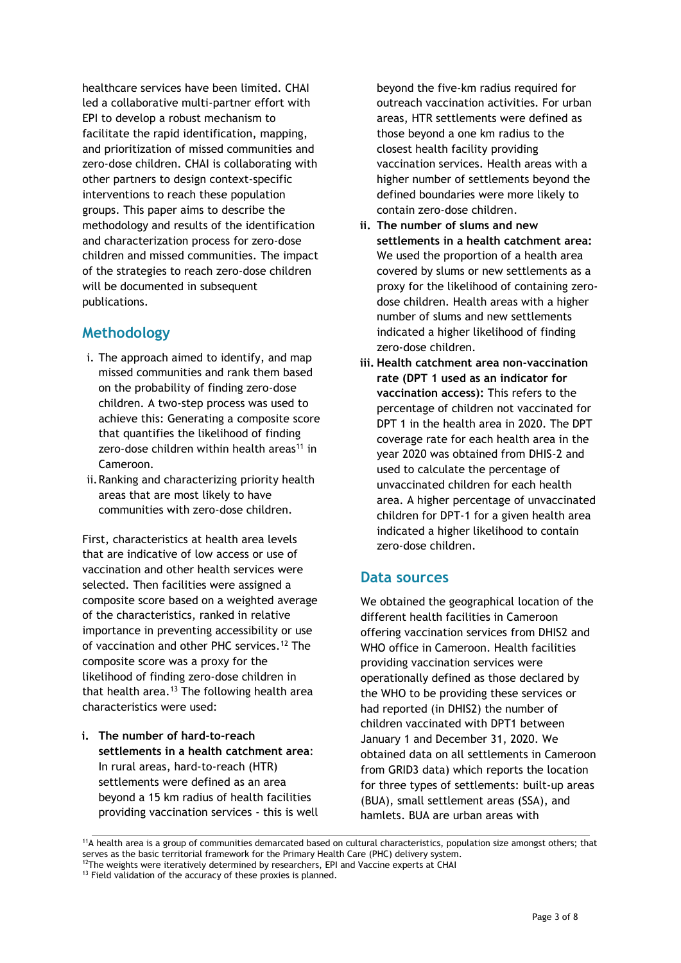healthcare services have been limited. CHAI led a collaborative multi-partner effort with EPI to develop a robust mechanism to facilitate the rapid identification, mapping, and prioritization of missed communities and zero-dose children. CHAI is collaborating with other partners to design context-specific interventions to reach these population groups. This paper aims to describe the methodology and results of the identification and characterization process for zero-dose children and missed communities. The impact of the strategies to reach zero-dose children will be documented in subsequent publications.

## **Methodology**

- i. The approach aimed to identify, and map missed communities and rank them based on the probability of finding zero-dose children. A two-step process was used to achieve this: Generating a composite score that quantifies the likelihood of finding zero-dose children within health areas<sup>11</sup> in Cameroon.
- ii.Ranking and characterizing priority health areas that are most likely to have communities with zero-dose children.

First, characteristics at health area levels that are indicative of low access or use of vaccination and other health services were selected. Then facilities were assigned a composite score based on a weighted average of the characteristics, ranked in relative importance in preventing accessibility or use of vaccination and other PHC services. <sup>12</sup> The composite score was a proxy for the likelihood of finding zero-dose children in that health area. <sup>13</sup> The following health area characteristics were used:

**i. The number of hard-to-reach settlements in a health catchment area**: In rural areas, hard-to-reach (HTR) settlements were defined as an area beyond a 15 km radius of health facilities providing vaccination services - this is well beyond the five-km radius required for outreach vaccination activities. For urban areas, HTR settlements were defined as those beyond a one km radius to the closest health facility providing vaccination services. Health areas with a higher number of settlements beyond the defined boundaries were more likely to contain zero-dose children.

- **ii. The number of slums and new settlements in a health catchment area:**  We used the proportion of a health area covered by slums or new settlements as a proxy for the likelihood of containing zerodose children. Health areas with a higher number of slums and new settlements indicated a higher likelihood of finding zero-dose children.
- **iii. Health catchment area non-vaccination rate (DPT 1 used as an indicator for vaccination access):** This refers to the percentage of children not vaccinated for DPT 1 in the health area in 2020. The DPT coverage rate for each health area in the year 2020 was obtained from DHIS-2 and used to calculate the percentage of unvaccinated children for each health area. A higher percentage of unvaccinated children for DPT-1 for a given health area indicated a higher likelihood to contain zero-dose children.

# **Data sources**

We obtained the geographical location of the different health facilities in Cameroon offering vaccination services from DHIS2 and WHO office in Cameroon. Health facilities providing vaccination services were operationally defined as those declared by the WHO to be providing these services or had reported (in DHIS2) the number of children vaccinated with DPT1 between January 1 and December 31, 2020. We obtained data on all settlements in Cameroon from GRID3 data) which reports the location for three types of settlements: built-up areas (BUA), small settlement areas (SSA), and hamlets. BUA are urban areas with

<sup>11</sup>A health area is a group of communities demarcated based on cultural characteristics, population size amongst others; that serves as the basic territorial framework for the Primary Health Care (PHC) delivery system. <sup>12</sup>The weights were iteratively determined by researchers, EPI and Vaccine experts at CHAI

<sup>&</sup>lt;sup>13</sup> Field validation of the accuracy of these proxies is planned.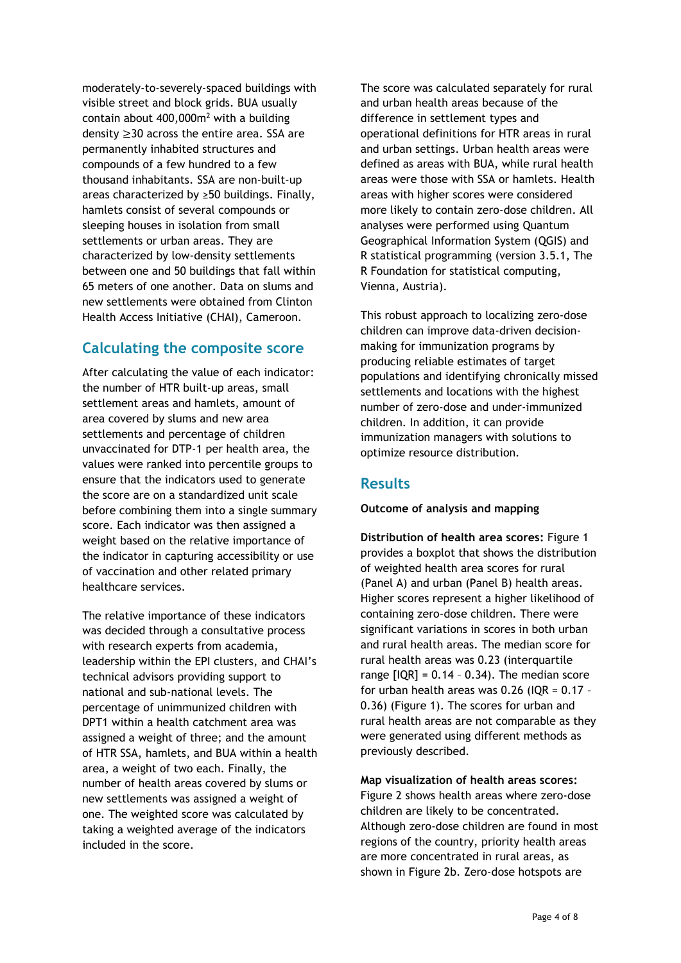moderately-to-severely-spaced buildings with visible street and block grids. BUA usually contain about  $400,000$ m<sup>2</sup> with a building density ≥30 across the entire area. SSA are permanently inhabited structures and compounds of a few hundred to a few thousand inhabitants. SSA are non-built-up areas characterized by ≥50 buildings. Finally, hamlets consist of several compounds or sleeping houses in isolation from small settlements or urban areas. They are characterized by low-density settlements between one and 50 buildings that fall within 65 meters of one another. Data on slums and new settlements were obtained from Clinton Health Access Initiative (CHAI), Cameroon.

# **Calculating the composite score**

After calculating the value of each indicator: the number of HTR built-up areas, small settlement areas and hamlets, amount of area covered by slums and new area settlements and percentage of children unvaccinated for DTP-1 per health area, the values were ranked into percentile groups to ensure that the indicators used to generate the score are on a standardized unit scale before combining them into a single summary score. Each indicator was then assigned a weight based on the relative importance of the indicator in capturing accessibility or use of vaccination and other related primary healthcare services.

The relative importance of these indicators was decided through a consultative process with research experts from academia, leadership within the EPI clusters, and CHAI's technical advisors providing support to national and sub-national levels. The percentage of unimmunized children with DPT1 within a health catchment area was assigned a weight of three; and the amount of HTR SSA, hamlets, and BUA within a health area, a weight of two each. Finally, the number of health areas covered by slums or new settlements was assigned a weight of one. The weighted score was calculated by taking a weighted average of the indicators included in the score.

The score was calculated separately for rural and urban health areas because of the difference in settlement types and operational definitions for HTR areas in rural and urban settings. Urban health areas were defined as areas with BUA, while rural health areas were those with SSA or hamlets. Health areas with higher scores were considered more likely to contain zero-dose children. All analyses were performed using Quantum Geographical Information System (QGIS) and R statistical programming (version 3.5.1, The R Foundation for statistical computing, Vienna, Austria).

This robust approach to localizing zero-dose children can improve data-driven decisionmaking for immunization programs by producing reliable estimates of target populations and identifying chronically missed settlements and locations with the highest number of zero-dose and under-immunized children. In addition, it can provide immunization managers with solutions to optimize resource distribution.

# **Results**

#### **Outcome of analysis and mapping**

**Distribution of health area scores:** Figure 1 provides a boxplot that shows the distribution of weighted health area scores for rural (Panel A) and urban (Panel B) health areas. Higher scores represent a higher likelihood of containing zero-dose children. There were significant variations in scores in both urban and rural health areas. The median score for rural health areas was 0.23 (interquartile range  $[IQR] = 0.14 - 0.34$ . The median score for urban health areas was  $0.26$  (IQR =  $0.17$  -0.36) (Figure 1). The scores for urban and rural health areas are not comparable as they were generated using different methods as previously described.

**Map visualization of health areas scores:**  Figure 2 shows health areas where zero-dose children are likely to be concentrated. Although zero-dose children are found in most regions of the country, priority health areas are more concentrated in rural areas, as shown in Figure 2b. Zero-dose hotspots are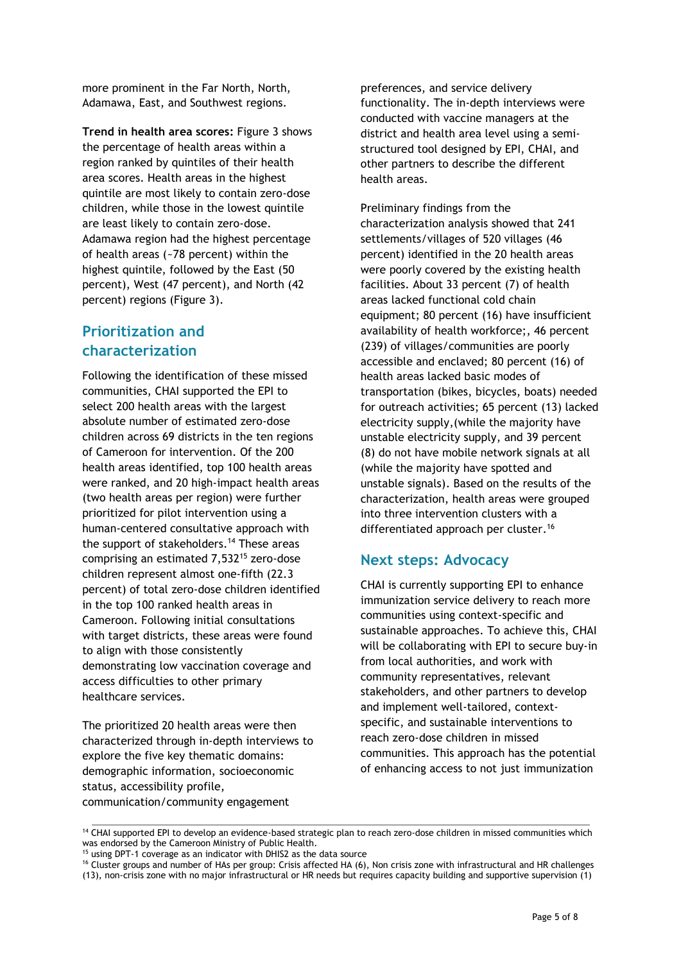more prominent in the Far North, North, Adamawa, East, and Southwest regions.

**Trend in health area scores:** Figure 3 shows the percentage of health areas within a region ranked by quintiles of their health area scores. Health areas in the highest quintile are most likely to contain zero-dose children, while those in the lowest quintile are least likely to contain zero-dose. Adamawa region had the highest percentage of health areas (~78 percent) within the highest quintile, followed by the East (50 percent), West (47 percent), and North (42 percent) regions (Figure 3).

# **Prioritization and characterization**

Following the identification of these missed communities, CHAI supported the EPI to select 200 health areas with the largest absolute number of estimated zero-dose children across 69 districts in the ten regions of Cameroon for intervention. Of the 200 health areas identified, top 100 health areas were ranked, and 20 high-impact health areas (two health areas per region) were further prioritized for pilot intervention using a human-centered consultative approach with the support of stakeholders. <sup>14</sup> These areas comprising an estimated 7,532<sup>15</sup> zero-dose children represent almost one-fifth (22.3 percent) of total zero-dose children identified in the top 100 ranked health areas in Cameroon. Following initial consultations with target districts, these areas were found to align with those consistently demonstrating low vaccination coverage and access difficulties to other primary healthcare services.

The prioritized 20 health areas were then characterized through in-depth interviews to explore the five key thematic domains: demographic information, socioeconomic status, accessibility profile, communication/community engagement

preferences, and service delivery functionality. The in-depth interviews were conducted with vaccine managers at the district and health area level using a semistructured tool designed by EPI, CHAI, and other partners to describe the different health areas.

Preliminary findings from the characterization analysis showed that 241 settlements/villages of 520 villages (46 percent) identified in the 20 health areas were poorly covered by the existing health facilities. About 33 percent (7) of health areas lacked functional cold chain equipment; 80 percent (16) have insufficient availability of health workforce;, 46 percent (239) of villages/communities are poorly accessible and enclaved; 80 percent (16) of health areas lacked basic modes of transportation (bikes, bicycles, boats) needed for outreach activities; 65 percent (13) lacked electricity supply,(while the majority have unstable electricity supply, and 39 percent (8) do not have mobile network signals at all (while the majority have spotted and unstable signals). Based on the results of the characterization, health areas were grouped into three intervention clusters with a differentiated approach per cluster.<sup>16</sup>

# **Next steps: Advocacy**

CHAI is currently supporting EPI to enhance immunization service delivery to reach more communities using context-specific and sustainable approaches. To achieve this, CHAI will be collaborating with EPI to secure buy-in from local authorities, and work with community representatives, relevant stakeholders, and other partners to develop and implement well-tailored, contextspecific, and sustainable interventions to reach zero-dose children in missed communities. This approach has the potential of enhancing access to not just immunization

<sup>&</sup>lt;sup>14</sup> CHAI supported EPI to develop an evidence-based strategic plan to reach zero-dose children in missed communities which was endorsed by the Cameroon Ministry of Public Health.

<sup>15</sup> using DPT-1 coverage as an indicator with DHIS2 as the data source

<sup>&</sup>lt;sup>16</sup> Cluster groups and number of HAs per group: Crisis affected HA (6), Non crisis zone with infrastructural and HR challenges (13), non-crisis zone with no major infrastructural or HR needs but requires capacity building and supportive supervision (1)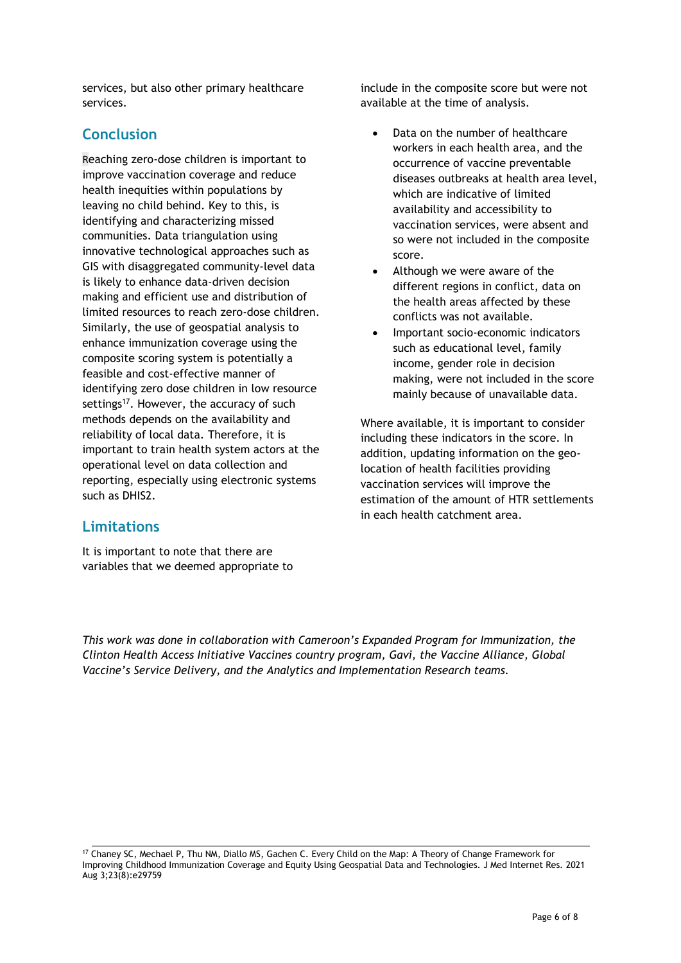services, but also other primary healthcare services.

# **Conclusion**

Reaching zero-dose children is important to improve vaccination coverage and reduce health inequities within populations by leaving no child behind. Key to this, is identifying and characterizing missed communities. Data triangulation using innovative technological approaches such as GIS with disaggregated community-level data is likely to enhance data-driven decision making and efficient use and distribution of limited resources to reach zero-dose children. Similarly, the use of geospatial analysis to enhance immunization coverage using the composite scoring system is potentially a feasible and cost-effective manner of identifying zero dose children in low resource settings<sup>17</sup>. However, the accuracy of such methods depends on the availability and reliability of local data. Therefore, it is important to train health system actors at the operational level on data collection and reporting, especially using electronic systems such as DHIS2.

include in the composite score but were not available at the time of analysis.

- Data on the number of healthcare workers in each health area, and the occurrence of vaccine preventable diseases outbreaks at health area level, which are indicative of limited availability and accessibility to vaccination services, were absent and so were not included in the composite score.
- Although we were aware of the different regions in conflict, data on the health areas affected by these conflicts was not available.
- Important socio-economic indicators such as educational level, family income, gender role in decision making, were not included in the score mainly because of unavailable data.

Where available, it is important to consider including these indicators in the score. In addition, updating information on the geolocation of health facilities providing vaccination services will improve the estimation of the amount of HTR settlements in each health catchment area.

# **Limitations**

It is important to note that there are variables that we deemed appropriate to

*This work was done in collaboration with Cameroon's Expanded Program for Immunization, the Clinton Health Access Initiative Vaccines country program, Gavi, the Vaccine Alliance, Global Vaccine's Service Delivery, and the Analytics and Implementation Research teams.*

<sup>17</sup> Chaney SC, Mechael P, Thu NM, Diallo MS, Gachen C. Every Child on the Map: A Theory of Change Framework for Improving Childhood Immunization Coverage and Equity Using Geospatial Data and Technologies. J Med Internet Res. 2021 Aug 3;23(8):e29759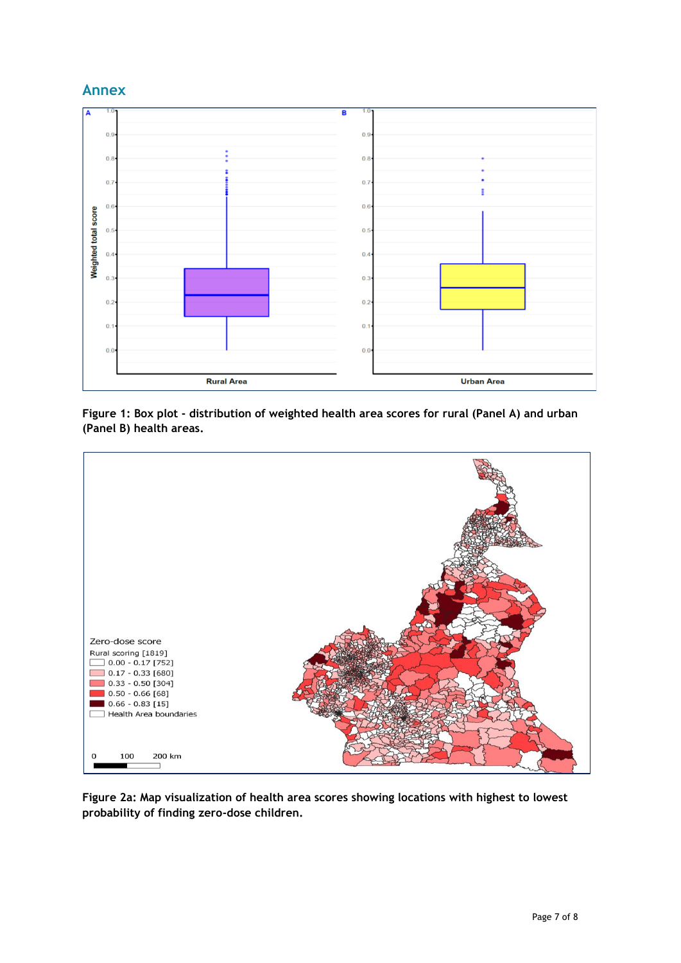# **Annex**



**Figure 1: Box plot - distribution of weighted health area scores for rural (Panel A) and urban (Panel B) health areas.**



**Figure 2a: Map visualization of health area scores showing locations with highest to lowest probability of finding zero-dose children.**